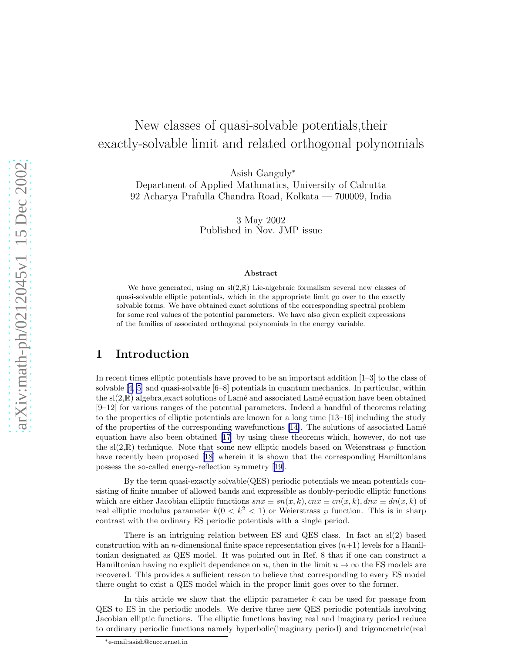# New classes of quasi-solvable potentials,their exactly-solvable limit and related orthogonal polynomials

Asish Ganguly<sup>∗</sup>

Department of Applied Mathmatics, University of Calcutta 92 Acharya Prafulla Chandra Road, Kolkata — 700009, India

> 3 May 2002 Published in Nov. JMP issue

#### Abstract

We have generated, using an  $sl(2,\mathbb{R})$  Lie-algebraic formalism several new classes of quasi-solvable elliptic potentials, which in the appropriate limit go over to the exactly solvable forms. We have obtained exact solutions of the corresponding spectral problem for some real values of the potential parameters. We have also given explicit expressions of the families of associated orthogonal polynomials in the energy variable.

### 1 Introduction

In recent times elliptic potentials have proved to be an important addition [1–3] to the class of solvable[[4, 5](#page-13-0)] and quasi-solvable [6–8] potentials in quantum mechanics. In particular, within the  $sl(2,\mathbb{R})$  algebra, exact solutions of Lamé and associated Lamé equation have been obtained [9–12] for various ranges of the potential parameters. Indeed a handful of theorems relating to the properties of elliptic potentials are known for a long time [13–16] including the study of the properties of the corresponding wavefunctions  $[14]$ . The solutions of associated Lamé equation have also been obtained[[17\]](#page-13-0) by using these theorems which, however, do not use the sl(2, $\mathbb{R}$ ) technique. Note that some new elliptic models based on Weierstrass  $\wp$  function haverecently been proposed [[18](#page-13-0)] wherein it is shown that the corresponding Hamiltonians possess the so-called energy-reflection symmetry[[19\]](#page-13-0).

By the term quasi-exactly solvable(QES) periodic potentials we mean potentials consisting of finite number of allowed bands and expressible as doubly-periodic elliptic functions which are either Jacobian elliptic functions  $snx \equiv sn(x, k)$ ,  $cnx \equiv cn(x, k)$ ,  $dnx \equiv dn(x, k)$  of real elliptic modulus parameter  $k(0 < k^2 < 1)$  or Weierstrass  $\wp$  function. This is in sharp contrast with the ordinary ES periodic potentials with a single period.

There is an intriguing relation between ES and QES class. In fact an sl(2) based construction with an *n*-dimensional finite space representation gives  $(n+1)$  levels for a Hamiltonian designated as QES model. It was pointed out in Ref. 8 that if one can construct a Hamiltonian having no explicit dependence on n, then in the limit  $n \to \infty$  the ES models are recovered. This provides a sufficient reason to believe that corresponding to every ES model there ought to exist a QES model which in the proper limit goes over to the former.

In this article we show that the elliptic parameter  $k$  can be used for passage from QES to ES in the periodic models. We derive three new QES periodic potentials involving Jacobian elliptic functions. The elliptic functions having real and imaginary period reduce to ordinary periodic functions namely hyperbolic(imaginary period) and trigonometric(real

<sup>∗</sup>e-mail:asish@cucc.ernet.in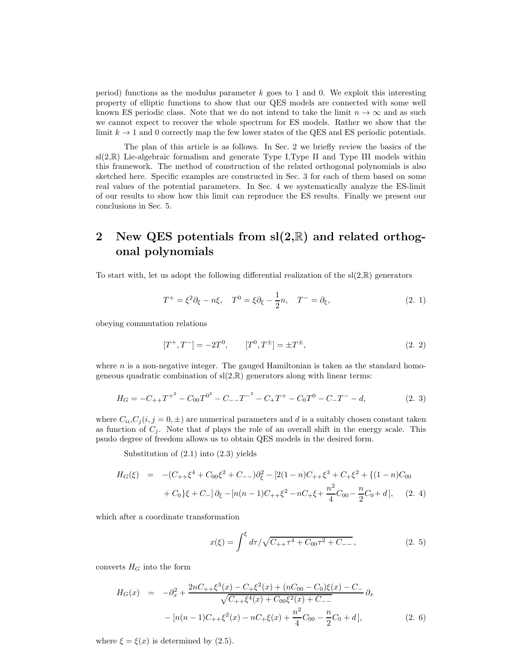period) functions as the modulus parameter  $k$  goes to 1 and 0. We exploit this interesting property of elliptic functions to show that our QES models are connected with some well known ES periodic class. Note that we do not intend to take the limit  $n \to \infty$  and as such we cannot expect to recover the whole spectrum for ES models. Rather we show that the limit  $k \to 1$  and 0 correctly map the few lower states of the QES and ES periodic potentials.

The plan of this article is as follows. In Sec. 2 we briefly review the basics of the  $sl(2,\mathbb{R})$  Lie-algebraic formalism and generate Type I, Type II and Type III models within this framework. The method of construction of the related orthogonal polynomials is also sketched here. Specific examples are constructed in Sec. 3 for each of them based on some real values of the potential parameters. In Sec. 4 we systematically analyze the ES-limit of our results to show how this limit can reproduce the ES results. Finally we present our conclusions in Sec. 5.

# 2 New QES potentials from  $sl(2,\mathbb{R})$  and related orthogonal polynomials

To start with, let us adopt the following differential realization of the  $sl(2,\mathbb{R})$  generators

$$
T^{+} = \xi^{2} \partial_{\xi} - n\xi, \quad T^{0} = \xi \partial_{\xi} - \frac{1}{2}n, \quad T^{-} = \partial_{\xi}, \tag{2.1}
$$

obeying commutation relations

$$
[T^+, T^-] = -2T^0, \qquad [T^0, T^{\pm}] = \pm T^{\pm}, \tag{2.2}
$$

where  $n$  is a non-negative integer. The gauged Hamiltonian is taken as the standard homogeneous quadratic combination of  $sl(2,\mathbb{R})$  generators along with linear terms:

$$
H_G = -C_{++}T^{+^2} - C_{00}T^{0^2} - C_{--}T^{-^2} - C_{+}T^{+} - C_{0}T^{0} - C_{-}T^{-} - d,
$$
\n(2. 3)

where  $C_{ii}$ ,  $C_j$  (i,  $j = 0, \pm$ ) are numerical parameters and d is a suitably chosen constant taken as function of  $C_j$ . Note that d plays the role of an overall shift in the energy scale. This psudo degree of freedom allows us to obtain QES models in the desired form.

Substitution of (2.1) into (2.3) yields

$$
H_G(\xi) = -(C_{++}\xi^4 + C_{00}\xi^2 + C_{--})\partial_{\xi}^2 - [2(1-n)C_{++}\xi^3 + C_{+}\xi^2 + \{(1-n)C_{00} + C_0\}\xi + C_{-}] \partial_{\xi} - [n(n-1)C_{++}\xi^2 - nC_{+}\xi + \frac{n^2}{4}C_{00} - \frac{n}{2}C_0 + d],
$$
 (2. 4)

which after a coordinate transformation

$$
x(\xi) = \int^{\xi} d\tau / \sqrt{C_{++} \tau^4 + C_{00} \tau^2 + C_{--}},
$$
\n(2. 5)

converts  $H_G$  into the form

$$
H_G(x) = -\partial_x^2 + \frac{2nC_{++}\xi^3(x) - C_{+}\xi^2(x) + (nC_{00} - C_0)\xi(x) - C_{-}}{\sqrt{C_{++}\xi^4(x) + C_{00}\xi^2(x) + C_{--}}} \partial_x
$$
  
- 
$$
[n(n-1)C_{++}\xi^2(x) - nC_{+}\xi(x) + \frac{n^2}{4}C_{00} - \frac{n}{2}C_0 + d],
$$
 (2. 6)

where  $\xi = \xi(x)$  is determined by (2.5).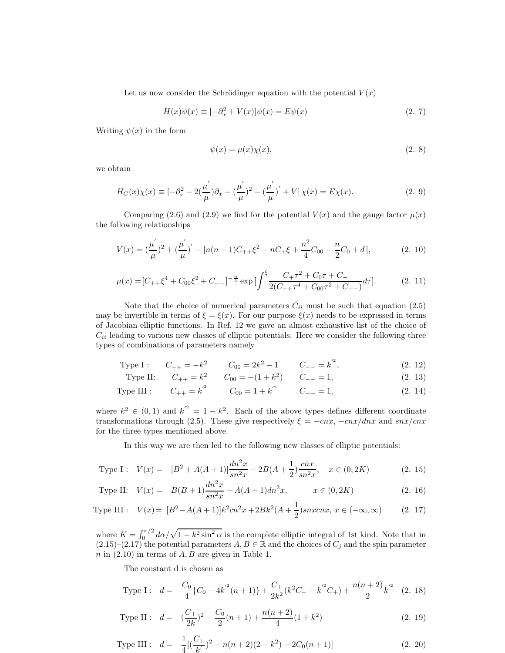Let us now consider the Schrödinger equation with the potential  $V(x)$ 

$$
H(x)\psi(x) \equiv [-\partial_x^2 + V(x)]\psi(x) = E\psi(x)
$$
\n(2. 7)

Writing  $\psi(x)$  in the form

$$
\psi(x) = \mu(x)\chi(x),\tag{2.8}
$$

we obtain

$$
H_G(x)\chi(x) \equiv [-\partial_x^2 - 2(\frac{\mu'}{\mu})\partial_x - (\frac{\mu'}{\mu})^2 - (\frac{\mu'}{\mu})' + V]\chi(x) = E\chi(x). \tag{2.9}
$$

Comparing (2.6) and (2.9) we find for the potential  $V(x)$  and the gauge factor  $\mu(x)$ the following relationships

$$
V(x) = \left(\frac{\mu'}{\mu}\right)^2 + \left(\frac{\mu'}{\mu}\right)' - \left[n(n-1)C_{++}\xi^2 - nC_{+}\xi + \frac{n^2}{4}C_{00} - \frac{n}{2}C_0 + d\right],
$$
 (2. 10)

$$
\mu(x) = [C_{++}\xi^4 + C_{00}\xi^2 + C_{--}]^{-\frac{n}{4}} \exp\left[\int^{\xi} \frac{C_{+}\tau^2 + C_0\tau + C_{-}}{2(C_{++}\tau^4 + C_{00}\tau^2 + C_{--})}d\tau\right].
$$
 (2. 11)

Note that the choice of numerical parameters  $C_{ii}$  must be such that equation (2.5) may be invertible in terms of  $\xi = \xi(x)$ . For our purpose  $\xi(x)$  needs to be expressed in terms of Jacobian elliptic functions. In Ref. 12 we gave an almost exhaustive list of the choice of  $C_{ii}$  leading to various new classes of elliptic potentials. Here we consider the following three types of combinations of parameters namely

Type I : 
$$
C_{++} = -k^2
$$
  $C_{00} = 2k^2 - 1$   $C_{--} = k^2$ , (2. 12)

Type II: 
$$
C_{++} = k^2
$$
  $C_{00} = -(1 + k^2)$   $C_{--} = 1,$  
$$
(2. 13)
$$

Type III : 
$$
C_{++} = k^2
$$
  $C_{00} = 1 + k^2$   $C_{--} = 1,$  
$$
(2. 14)
$$

where  $k^2 \in (0,1)$  and  $k'^2 = 1 - k^2$ . Each of the above types defines different coordinate transformations through (2.5). These give respectively  $\xi = -cnx, -cnx/dnx$  and snx/cnx for the three types mentioned above.

In this way we are then led to the following new classes of elliptic potentials:

Type I: 
$$
V(x) = [B^2 + A(A+1)] \frac{dn^2x}{sn^2x} - 2B(A+\frac{1}{2}) \frac{cnx}{sn^2x}, \quad x \in (0, 2K)
$$
 (2. 15)

Type II: 
$$
V(x) = B(B+1)\frac{dn^2x}{sn^2x} - A(A+1)dn^2x
$$
,  $x \in (0, 2K)$  (2. 16)

Type III : 
$$
V(x) = [B^2 - A(A+1)]k^2cn^2x + 2Bk^2(A + \frac{1}{2})snxcnx, x \in (-\infty, \infty)
$$
 (2. 17)

where  $K = \int_0^{\pi/2} d\alpha/\sqrt{1 - k^2 \sin^2 \alpha}$  is the complete elliptic integral of 1st kind. Note that in  $(2.15)-(2.17)$  the potential parameters  $A, B \in \mathbb{R}$  and the choices of  $C_j$  and the spin parameter  $n$  in (2.10) in terms of  $A, B$  are given in Table 1.

The constant d is chosen as

Type I: 
$$
d = \frac{C_0}{4} \{C_0 - 4k'^2(n+1)\} + \frac{C_+}{2k^2} (k^2 C_- - k'^2 C_+) + \frac{n(n+2)}{2} k'^2
$$
 (2. 18)

Type II : 
$$
d = \left(\frac{C_+}{2k}\right)^2 - \frac{C_0}{2}(n+1) + \frac{n(n+2)}{4}(1+k^2)
$$
 (2. 19)

Type III : 
$$
d = \frac{1}{4} [(\frac{C_+}{k'})^2 - n(n+2)(2-k^2) - 2C_0(n+1)]
$$
 (2. 20)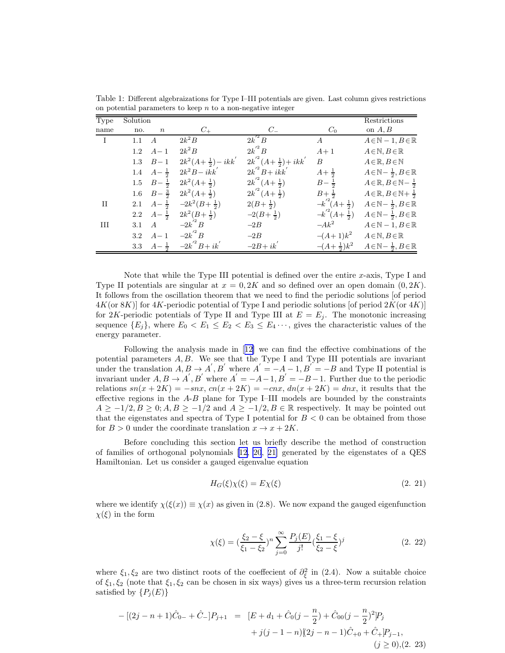| Type         | Solution |                   |                                    |                             |                        | Restrictions                                          |
|--------------|----------|-------------------|------------------------------------|-----------------------------|------------------------|-------------------------------------------------------|
| name         | no.      | $\boldsymbol{n}$  | $C_{+}$                            | $C_{-}$                     | $C_0$                  | on $A, B$                                             |
| $\mathbf{I}$ | 1.1      | A                 | $2k^2B$                            | $2k^{\prime2}B$             | $\boldsymbol{A}$       | $A \in \mathbb{N} - 1, B \in \mathbb{R}$              |
|              | 1.2      | $A-1$             | $2k^2B$                            | $2k^{\prime2}B$             | $A+1$                  | $A \in \mathbb{N}, B \in \mathbb{R}$                  |
|              | 1.3      | $B-1$             | $2k^2(A+\frac{1}{2})-ikk^{\prime}$ | $2k^2(A+\frac{1}{2})+ikk^2$ | $\boldsymbol{B}$       | $A \in \mathbb{R}, B \in \mathbb{N}$                  |
|              | 1.4      | $A - \frac{1}{2}$ | $2k^2B - ikk^{\prime}$             | $2k^2B+i\overline{k}k^2$    | $A + \frac{1}{2}$      | $A\in\mathbb{N}-\frac{1}{2}, B\in\mathbb{R}$          |
|              | $1.5\,$  | $B - \frac{1}{2}$ | $2k^2(A+\frac{1}{2})$              | $2k^2(A+\frac{1}{2})$       | $B - \frac{1}{2}$      | $A \in \mathbb{R}, B \in \mathbb{N} - \frac{1}{2}$    |
|              | $1.6\,$  | $B - \frac{3}{2}$ | $2k^2(A+\frac{1}{2})$              | $2k^2(A+\frac{1}{2})$       | $B + \frac{1}{2}$      | $A \in \mathbb{R}, B \in \mathbb{N} + \frac{1}{2}$    |
| П            | 2.1      | $A - \frac{1}{2}$ | $-2k^2(B+\frac{1}{2})$             | $2(B+\frac{1}{2})$          | $-k'^2(A+\frac{1}{2})$ | $A \in \mathbb{N} - \frac{1}{2}, B \in \mathbb{R}$    |
|              | 2.2      | $A - \frac{1}{2}$ | $2k^2(B+\frac{1}{2})$              | $-2(B+\frac{1}{2})$         | $-k'^2(A+\frac{1}{2})$ | $A \in \mathbb{N} - \frac{1}{2}, B \in \mathbb{R}$    |
| Ш            | 3.1      | $\overline{A}$    | $-2k$ <sup><math>B</math></sup>    | $-2B$                       | $-Ak^2$                | $A \in \mathbb{N} - 1, B \in \mathbb{R}$              |
|              | 3.2      | $A-1$             | $-2k^{\prime 2}B$                  | $-2B$                       | $-(A+1)k^2$            | $A \in \mathbb{N}, B \in \mathbb{R}$                  |
|              | 3.3      | $A - \frac{1}{2}$ | $-2k^{\prime 2}B+i k^{\prime}$     | $-2B + ik'$                 | $-(A+\frac{1}{2})k^2$  | $A\!\in\!\mathbb{N}\!-\frac{1}{2},B\!\in\!\mathbb{R}$ |

Table 1: Different algebraizations for Type I–III potentials are given. Last column gives restrictions on potential parameters to keep  $n$  to a non-negative integer

Note that while the Type III potential is defined over the entire  $x$ -axis, Type I and Type II potentials are singular at  $x = 0, 2K$  and so defined over an open domain  $(0, 2K)$ . It follows from the oscillation theorem that we need to find the periodic solutions [of period  $4K$ (or 8K)] for  $4K$ -periodic potential of Type I and periodic solutions [of period  $2K$ (or  $4K$ )] for 2K-periodic potentials of Type II and Type III at  $E = E_j$ . The monotonic increasing sequence  ${E_j}$ , where  $E_0 < E_1 \le E_2 < E_3 \le E_4 \cdots$ , gives the characteristic values of the energy parameter.

Following the analysis made in[[12\]](#page-13-0) we can find the effective combinations of the potential parameters  $A, B$ . We see that the Type I and Type III potentials are invariant under the translation  $A, B \rightarrow A', B'$  where  $A' = -A - 1, B' = -B$  and Type II potential is invariant under  $A, B \rightarrow A', B'$  where  $A' = -A-1, B' = -B-1$ . Further due to the periodic relations  $sn(x + 2K) = -snx$ ,  $cn(x + 2K) = -cnx$ ,  $dn(x + 2K) = dnx$ , it results that the effective regions in the A-B plane for Type I–III models are bounded by the constraints  $A \ge -1/2, B \ge 0; A, B \ge -1/2$  and  $A \ge -1/2, B \in \mathbb{R}$  respectively. It may be pointed out that the eigenstates and spectra of Type I potential for  $B < 0$  can be obtained from those for  $B > 0$  under the coordinate translation  $x \to x + 2K$ .

Before concluding this section let us briefly describe the method of construction of families of orthogonal polynomials[[12, 20](#page-13-0), [21\]](#page-13-0) generated by the eigenstates of a QES Hamiltonian. Let us consider a gauged eigenvalue equation

$$
H_G(\xi)\chi(\xi) = E\chi(\xi) \tag{2.21}
$$

where we identify  $\chi(\xi(x)) \equiv \chi(x)$  as given in (2.8). We now expand the gauged eigenfunction  $\chi(\xi)$  in the form

$$
\chi(\xi) = (\frac{\xi_2 - \xi}{\xi_1 - \xi_2})^n \sum_{j=0}^{\infty} \frac{P_j(E)}{j!} (\frac{\xi_1 - \xi}{\xi_2 - \xi})^j
$$
(2. 22)

where  $\xi_1, \xi_2$  are two distinct roots of the coeffecient of  $\partial_{\xi}^2$  in (2.4). Now a suitable choice of  $\xi_1, \xi_2$  (note that  $\xi_1, \xi_2$  can be chosen in six ways) gives us a three-term recursion relation satisfied by  $\{P_i(E)\}\$ 

$$
-[(2j - n + 1)\hat{C}_{0-} + \hat{C}_{-}]P_{j+1} = [E + d_1 + \hat{C}_0(j - \frac{n}{2}) + \hat{C}_{00}(j - \frac{n}{2})^2]P_j
$$
  
+  $j(j - 1 - n)[(2j - n - 1)\hat{C}_{+0} + \hat{C}_{+}]P_{j-1},$   
( $j \ge 0$ ), (2. 23)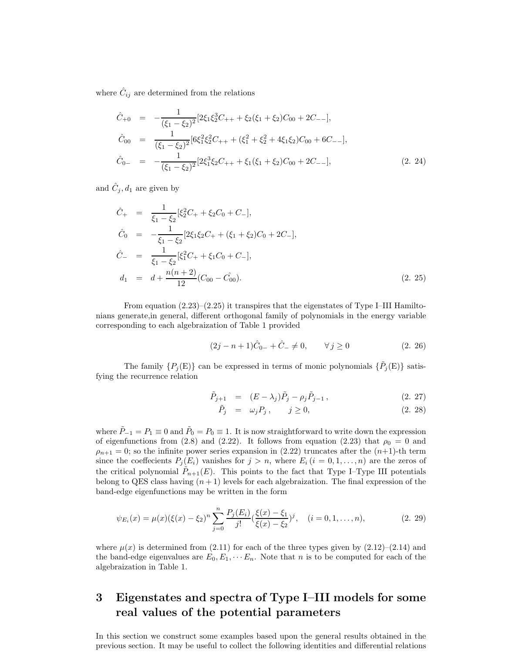where  $\hat{C}_{ij}$  are determined from the relations

$$
\hat{C}_{+0} = -\frac{1}{(\xi_1 - \xi_2)^2} [2\xi_1 \xi_2^3 C_{++} + \xi_2 (\xi_1 + \xi_2) C_{00} + 2C_{--}],
$$
\n
$$
\hat{C}_{00} = \frac{1}{(\xi_1 - \xi_2)^2} [6\xi_1^2 \xi_2^2 C_{++} + (\xi_1^2 + \xi_2^2 + 4\xi_1 \xi_2) C_{00} + 6C_{--}],
$$
\n
$$
\hat{C}_{0-} = -\frac{1}{(\xi_1 - \xi_2)^2} [2\xi_1^3 \xi_2 C_{++} + \xi_1 (\xi_1 + \xi_2) C_{00} + 2C_{--}],
$$
\n(2. 24)

and  $\hat{C}_j, d_1$  are given by

$$
\hat{C}_{+} = \frac{1}{\xi_{1} - \xi_{2}} [\xi_{2}^{2} C_{+} + \xi_{2} C_{0} + C_{-}],
$$
\n
$$
\hat{C}_{0} = -\frac{1}{\xi_{1} - \xi_{2}} [2\xi_{1}\xi_{2} C_{+} + (\xi_{1} + \xi_{2}) C_{0} + 2C_{-}],
$$
\n
$$
\hat{C}_{-} = \frac{1}{\xi_{1} - \xi_{2}} [\xi_{1}^{2} C_{+} + \xi_{1} C_{0} + C_{-}],
$$
\n
$$
d_{1} = d + \frac{n(n+2)}{12} (C_{00} - C_{00}).
$$
\n(2. 25)

From equation (2.23)–(2.25) it transpires that the eigenstates of Type I–III Hamiltonians generate,in general, different orthogonal family of polynomials in the energy variable corresponding to each algebraization of Table 1 provided

$$
(2j - n + 1)\hat{C}_{0-} + \hat{C}_{-} \neq 0, \qquad \forall j \ge 0 \tag{2.26}
$$

The family  $\{P_j(\mathbf{E})\}$  can be expressed in terms of monic polynomials  $\{\tilde{P}_j(\mathbf{E})\}$  satisfying the recurrence relation

$$
\tilde{P}_{j+1} = (E - \lambda_j)\tilde{P}_j - \rho_j \tilde{P}_{j-1}, \qquad (2.27)
$$

$$
\tilde{P}_j = \omega_j P_j, \qquad j \ge 0,
$$
\n
$$
(2. 28)
$$

where  $\tilde{P}_{-1} = P_1 \equiv 0$  and  $\tilde{P}_0 = P_0 \equiv 1$ . It is now straightforward to write down the expression of eigenfunctions from (2.8) and (2.22). It follows from equation (2.23) that  $\rho_0 = 0$  and  $\rho_{n+1} = 0$ ; so the infinite power series expansion in (2.22) truncates after the  $(n+1)$ -th term since the coeffecients  $P_j(E_i)$  vanishes for  $j > n$ , where  $E_i$   $(i = 0, 1, ..., n)$  are the zeros of the critical polynomial  $\tilde{P}_{n+1}(E)$ . This points to the fact that Type I–Type III potentials belong to QES class having  $(n + 1)$  levels for each algebraization. The final expression of the band-edge eigenfunctions may be written in the form

$$
\psi_{E_i}(x) = \mu(x)(\xi(x) - \xi_2)^n \sum_{j=0}^n \frac{P_j(E_i)}{j!} \left(\frac{\xi(x) - \xi_1}{\xi(x) - \xi_2}\right)^j, \quad (i = 0, 1, \dots, n), \tag{2.29}
$$

where  $\mu(x)$  is determined from (2.11) for each of the three types given by (2.12)–(2.14) and the band-edge eigenvalues are  $E_0, E_1, \cdots E_n$ . Note that n is to be computed for each of the algebraization in Table 1.

# 3 Eigenstates and spectra of Type I–III models for some real values of the potential parameters

In this section we construct some examples based upon the general results obtained in the previous section. It may be useful to collect the following identities and differential relations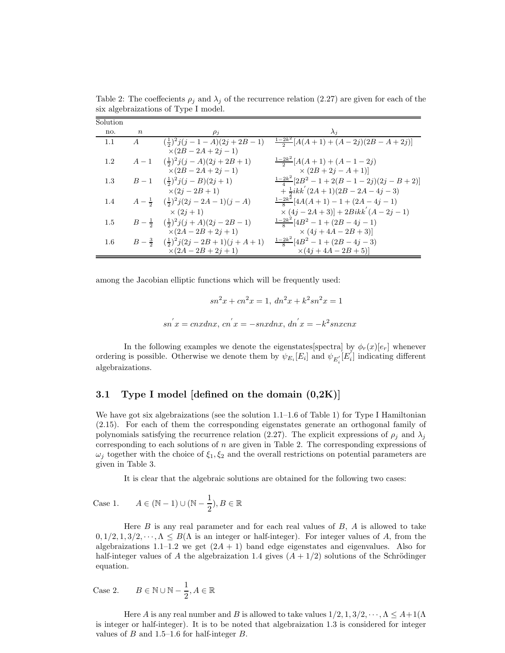| Solution |                  |                                                         |                                                         |
|----------|------------------|---------------------------------------------------------|---------------------------------------------------------|
| no.      | $\boldsymbol{n}$ | $\rho_i$                                                | $\lambda_i$                                             |
| 1.1      | A                | $(\frac{1}{2})^2 j(j-1-A)(2j+2B-1)$                     | $\frac{1-2k^2}{2}[A(A+1)+(A-2j)(2B-A+2j)]$              |
|          |                  | $\times(2B-2A+2j-1)$                                    |                                                         |
| $1.2\,$  | $A-1$            | $(\frac{1}{2})^2 j(j-A)(2j+2B+1)$                       | $\frac{1-2k^2}{2}[A(A+1)+(A-1-2j)]$                     |
|          |                  | $\times (2B - 2A + 2j - 1)$                             | $\times (2B + 2j - A + 1)]$                             |
| $1.3\,$  |                  | $B-1 \quad (\frac{1}{2})^2 j(j-B)(2j+1)$                | $\frac{1-2k^2}{4}[2B^2-1+2(B-1-2j)(2j-B+2)]$            |
|          |                  | $\times(2i-2B+1)$                                       | $+\frac{1}{2}ikk^{'}(2A+1)(2B-2A-4j-3)$                 |
| 1.4      |                  | $A-\frac{1}{2}(\frac{1}{2})^2 j(2j-2A-1)(j-A)$          | $\frac{1-2k^2}{8}[4A(A+1)-1+(2A-4j-1)]$                 |
|          |                  | $\times$ (2 <i>j</i> + 1)                               | $\times (4j-2A+3)] + 2Bikk^{'}(A-2j-1)$                 |
| 1.5      |                  | $B-\frac{1}{2}(\frac{1}{2})^2 j(j+A)(2j-2B-1)$          | $\frac{1-2k^2}{8}[4B^2-1+(2B-4j-1)]$                    |
|          |                  | $\times (2A - 2B + 2j + 1)$                             | $\times (4j + 4A - 2B + 3)]$                            |
| $1.6\,$  |                  | $B-\frac{3}{2} \quad (\frac{1}{2})^2 j(2j-2B+1)(j+A+1)$ | $\frac{1-2k^2}{8}$ [4B <sup>2</sup> - 1 + (2B - 4j - 3) |
|          |                  | $X(2A - 2B + 2j + 1)$                                   | $\times (4j + 4A - 2B + 5)]$                            |

Table 2: The coeffecients  $\rho_i$  and  $\lambda_i$  of the recurrence relation (2.27) are given for each of the six algebraizations of Type I model.

among the Jacobian elliptic functions which will be frequently used:

$$
sn2x + cn2x = 1, dn2x + k2sn2x = 1
$$
  

$$
sn'x = cnxdnx, cn'x = -snxdnx, dn'x = -k2snxcnx
$$

In the following examples we denote the eigenstates [spectra] by  $\phi_r(x)[e_r]$  whenever ordering is possible. Otherwise we denote them by  $\psi_{E_i}[E_i]$  and  $\psi_{E'_i}[E'_i]$  indicating different algebraizations.

### 3.1 Type I model [defined on the domain  $(0,2K)$ ]

We have got six algebraizations (see the solution  $1.1-1.6$  of Table 1) for Type I Hamiltonian (2.15). For each of them the corresponding eigenstates generate an orthogonal family of polynomials satisfying the recurrence relation (2.27). The explicit expressions of  $\rho_j$  and  $\lambda_j$ corresponding to each solutions of  $n$  are given in Table 2. The corresponding expressions of  $\omega_j$  together with the choice of  $\xi_1, \xi_2$  and the overall restrictions on potential parameters are given in Table 3.

It is clear that the algebraic solutions are obtained for the following two cases:

Case 1.  $A \in (\mathbb{N} - 1) \cup (\mathbb{N} - \frac{1}{2})$  $(\frac{1}{2}), B \in \mathbb{R}$ 

Here  $B$  is any real parameter and for each real values of  $B$ ,  $A$  is allowed to take  $0, 1/2, 1, 3/2, \dots, \Lambda \leq B(\Lambda)$  is an integer or half-integer). For integer values of A, from the algebraizations 1.1–1.2 we get  $(2A + 1)$  band edge eigenstates and eigenvalues. Also for half-integer values of A the algebraization 1.4 gives  $(A + 1/2)$  solutions of the Schrödinger equation.

Case 2. 
$$
B \in \mathbb{N} \cup \mathbb{N} - \frac{1}{2}, A \in \mathbb{R}
$$

Here A is any real number and B is allowed to take values  $1/2, 1, 3/2, \dots, \Lambda \leq A+1/\Lambda$ is integer or half-integer). It is to be noted that algebraization 1.3 is considered for integer values of  $B$  and 1.5–1.6 for half-integer  $B$ .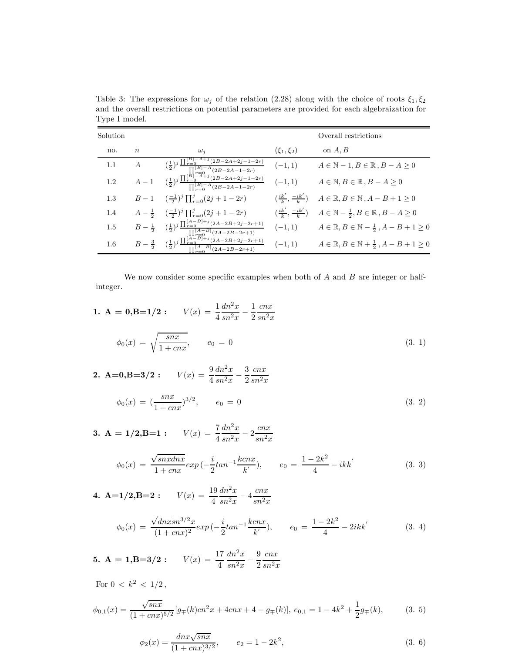| Solution |                  |                                                                                                                                                                                       |                                             | Overall restrictions                                                 |
|----------|------------------|---------------------------------------------------------------------------------------------------------------------------------------------------------------------------------------|---------------------------------------------|----------------------------------------------------------------------|
| no.      | $\boldsymbol{n}$ | $\omega_i$                                                                                                                                                                            | $(\xi_1, \xi_2)$                            | on $A, B$                                                            |
| 1.1      | $\overline{A}$   | $\frac{\left(\frac{1}{2}\right)^j \prod_{r=0}^{\lfloor B \rfloor - A + j} (2B - 2A + 2j - 1 - 2r)}{\prod_{r=0}^{\lfloor B \rfloor - A} (2B - 2A - 1 - 2r)}$                           | $(-1, 1)$                                   | $A \in \mathbb{N} - 1, B \in \mathbb{R}, B - A \geq 0$               |
| 1.2      |                  | $A-1 \qquad (\frac{1}{2})^j\frac{\prod_{r=0}^{\lceil\hat{B}\rceil-\overline{A}+j}(2B-2A+2j-1-2r)}{\prod_{r=0}^{\lceil B\rceil-\overline{A}}(2B-2A-1-2r)}$                             | $(-1, 1)$                                   | $A \in \mathbb{N}, B \in \mathbb{R}, B - A \geq 0$                   |
| 1.3      |                  | $B-1 \quad (\frac{-1}{2})^j \prod_{r=0}^j (2j+1-2r)$                                                                                                                                  | $\left(\frac{ik'}{k},\frac{-ik'}{k}\right)$ | $A \in \mathbb{R}, B \in \mathbb{N}, A - B + 1 \geq 0$               |
| 1.4      |                  | $A-\frac{1}{2} \quad (\frac{-1}{2})^j \prod_{r=0}^j (2j+1-2r)$                                                                                                                        | $\left(\frac{ik'}{k},\frac{-ik'}{k}\right)$ | $A \in \mathbb{N} - \frac{1}{2}, B \in \mathbb{R}, B - A \geq 0$     |
| 1.5      |                  | $B-\tfrac{1}{2}-\tbinom{1}{2}^j\tfrac{\prod_{r=0}^{[A-B]+j}(2A-2B+2j-2r+1)}{\prod_{r=0}^{[A-B]}(2A-2B-2r+1)}$                                                                         | $(-1, 1)$                                   | $A \in \mathbb{R}, B \in \mathbb{N} - \frac{1}{2}, A - B + 1 \geq 0$ |
| $1.6\,$  |                  | $\frac{1}{2}$<br>-0<br>-0<br>(2A-2B+2j-2r+1)<br>$B-\tfrac{3}{2} \quad \, (\tfrac{1}{2})^{j} \tfrac{\prod_{r=0}^{[\bar{A}-B]+j}(2A-2B+2j-2r+)}{\prod_{r=0}^{[\bar{A}-B]}(2A-2B-2r+1)}$ | $(-1, 1)$                                   | $A\in\mathbb{R}, B\in\mathbb{N}+\frac{1}{2}, A-B+1\geq 0$            |

Table 3: The expressions for  $\omega_j$  of the relation (2.28) along with the choice of roots  $\xi_1, \xi_2$ and the overall restrictions on potential parameters are provided for each algebraization for Type I model.

We now consider some specific examples when both of  $A$  and  $B$  are integer or halfinteger.

1. **A** = 0, **B**=1/2: 
$$
V(x) = \frac{1}{4} \frac{dn^2 x}{sn^2 x} - \frac{1}{2} \frac{cnx}{sn^2 x}
$$
  

$$
\phi_0(x) = \sqrt{\frac{snx}{1+cnx}}, \qquad e_0 = 0
$$
(3. 1)

2. **A=0,B=3/2**: 
$$
V(x) = \frac{9}{4} \frac{dn^2 x}{sn^2 x} - \frac{3}{2} \frac{cnx}{sn^2 x}
$$

$$
\phi_0(x) = \left(\frac{snx}{1+cnx}\right)^{3/2}, \qquad e_0 = 0 \tag{3.2}
$$

3. **A** = 1/2,**B**=1: 
$$
V(x) = \frac{7}{4} \frac{dn^2 x}{sn^2 x} - 2 \frac{cnx}{sn^2 x}
$$

$$
\phi_0(x) = \frac{\sqrt{\text{snxdnx}}}{1 + \text{cn}x} \exp\left(-\frac{i}{2}\text{tan}^{-1}\frac{\text{kcnx}}{k'}\right), \qquad e_0 = \frac{1 - 2k^2}{4} - ikk' \tag{3.3}
$$

4. **A=1/2, B=2**: 
$$
V(x) = \frac{19}{4} \frac{dn^2 x}{sn^2 x} - 4 \frac{cnx}{sn^2 x}
$$

$$
\phi_0(x) = \frac{\sqrt{dnx} \sin^{3/2} x}{(1 + cnx)^2} exp(-\frac{i}{2} \tan^{-1} \frac{kcnx}{k}), \qquad e_0 = \frac{1 - 2k^2}{4} - 2ikk'
$$
 (3. 4)

5. **A** = 1, **B**=3/2: 
$$
V(x) = \frac{17}{4} \frac{dn^2 x}{sn^2 x} - \frac{9}{2} \frac{cnx}{sn^2 x}
$$

For 
$$
0 < k^2 < 1/2
$$
,  
\n
$$
\phi_{0,1}(x) = \frac{\sqrt{snx}}{(1+cnx)^{5/2}} [g_{\mp}(k)cn^2x + 4cnx + 4 - g_{\mp}(k)], e_{0,1} = 1 - 4k^2 + \frac{1}{2}g_{\mp}(k),
$$
\n(3.5)

$$
\phi_2(x) = \frac{dnx\sqrt{snx}}{(1+cnx)^{3/2}}, \qquad e_2 = 1 - 2k^2,
$$
\n(3. 6)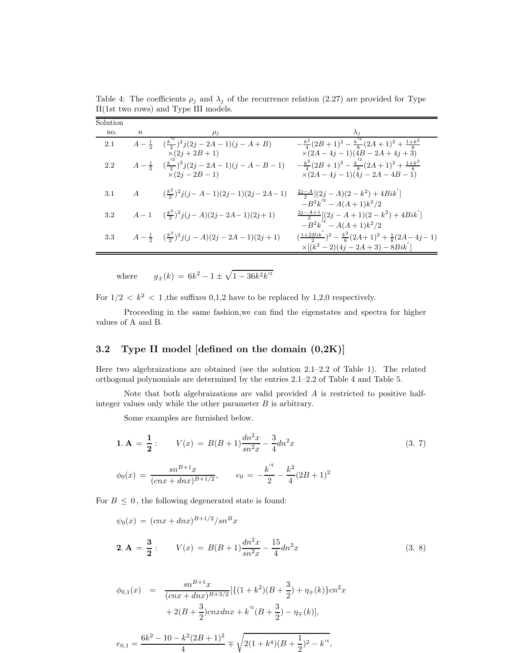| Solution |                  |                                                                                          |                                                                                                                                 |
|----------|------------------|------------------------------------------------------------------------------------------|---------------------------------------------------------------------------------------------------------------------------------|
| no.      | $\boldsymbol{n}$ | $\rho_i$                                                                                 |                                                                                                                                 |
| 2.1      |                  | $A-\frac{1}{2} \quad (\frac{k^2}{2})^2 j(2j-2A-1)(j-A+B)$<br>$\times(2j+2B+1)$           | $-\frac{k^2}{4}(2B+1)^2-\frac{k^{'2}}{8}(2A+1)^2+\frac{1+k^2}{8}$<br>$\times (2A-4j-1)(\tilde{4}B-2A+4j+3)$                     |
| 2.2      |                  | $A-\frac{1}{2} \quad (\frac{k^{'2}}{2})^2 j(2j-2A-1)(j-A-B-1)$<br>$\bar{x}(2j - 2B - 1)$ | $-\frac{k^2}{4}(2B+1)^2-\frac{k^{'2}}{8}(2A+1)^2+\frac{1+k^2}{8}$<br>$\times (2A-4j-1)(4j-2A-4B-1)$                             |
| 3.1      | A                | $(\frac{k^2}{2})^2 j(j-A-1)(2j-1)(2j-2A-1)$                                              | $\frac{2j-A}{2}[(2j-A)(2-k^2)+4Bik']$<br>$-B^{2}k^{2} - A(A+1)k^{2}/2$                                                          |
| 3.2      |                  | $A-1 \quad (\frac{k^2}{2})^2 j(j-A)(2j-2A-1)(2j+1)$                                      | $\frac{2j-A+1}{2}[(2j-A+1)(2-k^2)+4Bik']$<br>$-B^{2}k^{2} - A(A+1)k^{2}/2$                                                      |
| 3.3      |                  | $A-\frac{1}{2}(\frac{k^2}{2})^2 j(j-A)(2j-2A-1)(2j+1)$                                   | $\left(\frac{1+2Bik^{'}}{2}\right)^{2} - \frac{k^{2}}{8}(2A+1)^{2} + \frac{1}{8}(2A-4j-1)$<br>$\times [(k^2-2)(4j-2A+3)-8Bik']$ |

Table 4: The coefficients  $\rho_j$  and  $\lambda_j$  of the recurrence relation (2.27) are provided for Type II(1st two rows) and Type III models.

where  $g_{\pm}(k) = 6k^2 - 1 \pm \sqrt{1 - 36k^2k^2}$ 

For  $1/2 < k^2 < 1$ , the suffixes 0,1,2 have to be replaced by 1,2,0 respectively.

Proceeding in the same fashion,we can find the eigenstates and spectra for higher values of A and B.

### 3.2 Type II model [defined on the domain (0,2K)]

Here two algebraizations are obtained (see the solution 2.1–2.2 of Table 1). The related orthogonal polynomials are determined by the entries 2.1–2.2 of Table 4 and Table 5.

Note that both algebraizations are valid provided A is restricted to positive halfinteger values only while the other parameter  $B$  is arbitrary.

Some examples are furnished below.

$$
1. A = \frac{1}{2}: \qquad V(x) = B(B+1)\frac{dn^2x}{sn^2x} - \frac{3}{4}dn^2x \tag{3.7}
$$

$$
\phi_0(x) = \frac{sn^{B+1}x}{(cnx + dnx)^{B+1/2}}, \qquad e_0 = -\frac{k^2}{2} - \frac{k^2}{4}(2B+1)^2
$$

For  $B \leq 0$ , the following degenerated state is found:

$$
\psi_0(x) = (cnx + dnx)^{B+1/2}/sn^Bx
$$
  
**2.**  $\mathbf{A} = \frac{3}{2}$ :  $V(x) = B(B+1)\frac{dn^2x}{sn^2x} - \frac{15}{4}dn^2x$  (3. 8)

$$
\phi_{0,1}(x) = \frac{sn^{B+1}x}{(cnx + dnx)^{B+3/2}} [\{(1+k^2)(B+\frac{3}{2}) + \eta_{\mp}(k)\} cn^2 x
$$

$$
+ 2(B+\frac{3}{2})cnxdnx + k^2(B+\frac{3}{2}) - \eta_{\mp}(k)],
$$

$$
e_{0,1} = \frac{6k^2 - 10 - k^2(2B + 1)^2}{4} \mp \sqrt{2(1 + k^4)(B + \frac{1}{2})^2 - k'^4},
$$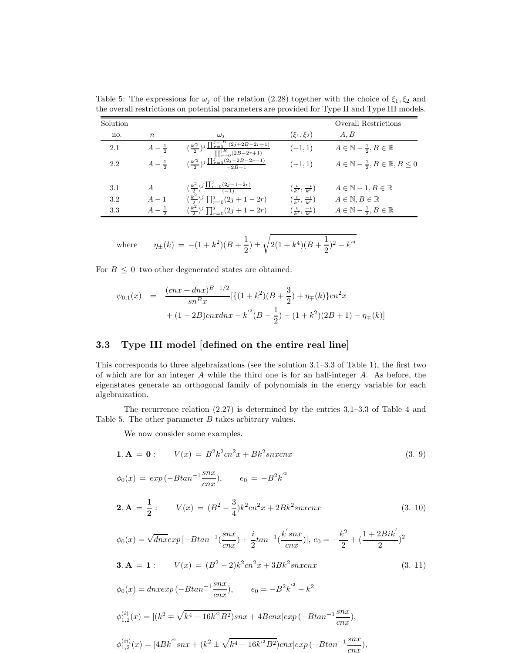| Solution |                   |                                                                                                      |                                            | <b>Overall Restrictions</b>                                  |
|----------|-------------------|------------------------------------------------------------------------------------------------------|--------------------------------------------|--------------------------------------------------------------|
| no.      | $n_{\rm s}$       | $\omega_i$                                                                                           | $(\xi_1,\xi_2)$                            | A, B                                                         |
| 2.1      | $A - \frac{1}{2}$ | $\frac{\left(\frac{k'^2}{2}\right)^j \prod_{r=0}^{j+[B]} (2j+2B-2r+1)}{\prod_{r=0}^{[B]} (2B-2r+1)}$ | $(-1, 1)$                                  | $A \in \mathbb{N} - \frac{1}{2}, B \in \mathbb{R}$           |
| 2.2      | $A - \frac{1}{2}$ | $\left(\frac{k'^2}{2}\right)^j \frac{\prod_{r=0}^j (2j-2B-2r-1)}{-2B-1}$                             | $(-1, 1)$                                  | $A \in \mathbb{N} - \frac{1}{2}, B \in \mathbb{R}, B \leq 0$ |
| 3.1      | $\overline{A}$    | $(\frac{k^2}{2})^j \frac{\prod_{r=0}^j (2j-1-2r)}{(-1)}$                                             | $\left(\frac{i}{k'}, \frac{-i}{k'}\right)$ | $A \in \mathbb{N} - 1, B \in \mathbb{R}$                     |
| 3.2      | $A-1$             | $(\frac{k^2}{2})^j \prod_{r=0}^j (2j+1-2r)$                                                          | $\left(\frac{i}{k'}, \frac{-i}{k'}\right)$ | $A \in \mathbb{N}, B \in \mathbb{R}$                         |
| 3.3      | $A - \frac{1}{2}$ | $(\frac{k^2}{2})^j \prod_{r=0}^j (2j+1-2r)$                                                          | $\left(\frac{i}{k'}, \frac{-i}{k'}\right)$ | $A \in \mathbb{N} - \frac{1}{2}, B \in \mathbb{R}$           |

Table 5: The expressions for  $\omega_j$  of the relation (2.28) together with the choice of  $\xi_1, \xi_2$  and the overall restrictions on potential parameters are provided for Type II and Type III models.

where 
$$
\eta_{\pm}(k) = -(1+k^2)(B+\frac{1}{2}) \pm \sqrt{2(1+k^4)(B+\frac{1}{2})^2-k'^4}
$$

For  $B \leq 0$  two other degenerated states are obtained:

$$
\psi_{0,1}(x) = \frac{(cnx + dnx)^{B-1/2}}{sn^Bx} [\{(1+k^2)(B+\frac{3}{2}) + \eta_{\mp}(k)\} cn^2 x
$$
  
+ (1-2B)cnxdnx - k^2(B-\frac{1}{2}) - (1+k^2)(2B+1) - \eta\_{\mp}(k)]

#### 3.3 Type III model [defined on the entire real line]

This corresponds to three algebraizations (see the solution 3.1–3.3 of Table 1), the first two of which are for an integer A while the third one is for an half-integer A. As before, the eigenstates generate an orthogonal family of polynomials in the energy variable for each algebraization.

The recurrence relation (2.27) is determined by the entries 3.1–3.3 of Table 4 and Table 5. The other parameter B takes arbitrary values.

We now consider some examples.

**1. A** = **0**: 
$$
V(x) = B^2 k^2 cn^2 x + B k^2 snx cnx
$$
 (3. 9)

$$
\phi_0(x) = exp(-Btan^{-1}\frac{snx}{cnx}), \qquad e_0 = -B^2k^2
$$

**2. A** = 
$$
\frac{1}{2}
$$
:  $V(x) = (B^2 - \frac{3}{4})k^2cn^2x + 2Bk^2snxcnx$  (3. 10)

$$
\phi_0(x) = \sqrt{dnx} \exp\left[-B \tan^{-1}\left(\frac{snx}{cnx}\right) + \frac{i}{2} \tan^{-1}\left(\frac{k'snx}{cnx}\right)\right], \ e_0 = -\frac{k^2}{2} + \left(\frac{1+2Bik^2}{2}\right)^2
$$
\n
$$
\mathbf{3. A = 1:} \qquad V(x) = (B^2 - 2)k^2 cn^2 x + 3Bk^2 s nx c nx \tag{3. 11}
$$

 $\phi_0(x) = d n x exp \left(-B tan^{-1} \frac{snx}{cnx}\right)$  $\frac{snx}{cnx}$ ,  $e_0 = -B^2k^2 - k^2$  $\phi_{1,2}^{(i)}(x) = [(k^2 \mp \sqrt{k^4 - 16k^2B^2})snx + 4Bcnx]exp(-Btan^{-1}\frac{snx}{cnx})$  $\frac{sin x}{c n x}),$  $\phi_{1,2}^{(ii)}(x) = [4Bk^{'^2}snx + (k^2 \pm \sqrt{k^4 - 16k^{'^2}B^2})cnx] exp(-Btan^{-1}\frac{snx}{cnx})$  $\frac{c}{cnx}),$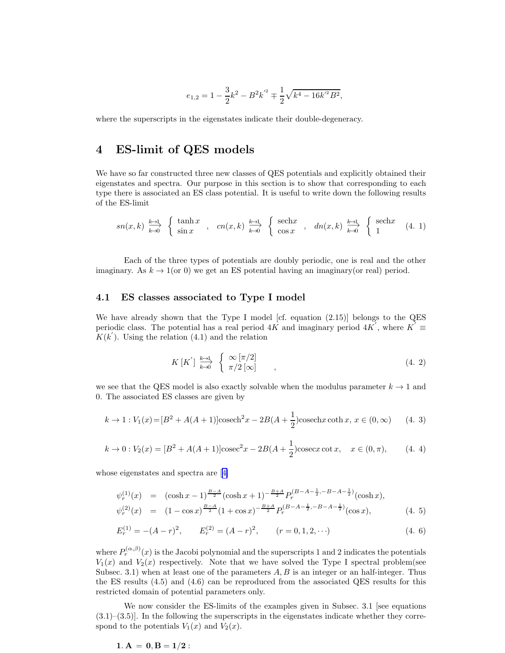$$
e_{1,2} = 1 - \frac{3}{2}k^2 - B^2k^{\prime 2} \mp \frac{1}{2}\sqrt{k^4 - 16k^{\prime 2}B^2},
$$

where the superscripts in the eigenstates indicate their double-degeneracy.

# 4 ES-limit of QES models

We have so far constructed three new classes of QES potentials and explicitly obtained their eigenstates and spectra. Our purpose in this section is to show that corresponding to each type there is associated an ES class potential. It is useful to write down the following results of the ES-limit

$$
sn(x,k) \xrightarrow{k\to 1} \begin{cases} \tanh x \\ \sin x \end{cases}, \quad cn(x,k) \xrightarrow{k\to 1} \begin{cases} \text{sech}x \\ \cos x \end{cases}, \quad dn(x,k) \xrightarrow{k\to 1} \begin{cases} \text{sech}x \\ 1 \end{cases} (4.1)
$$

Each of the three types of potentials are doubly periodic, one is real and the other imaginary. As  $k \to 1$  (or 0) we get an ES potential having an imaginary (or real) period.

#### 4.1 ES classes associated to Type I model

We have already shown that the Type I model [cf. equation (2.15)] belongs to the QES periodic class. The potential has a real period  $4K$  and imaginary period  $4K'$ , where  $K' \equiv$  $K(k')$ . Using the relation (4.1) and the relation

$$
K\left[K^{'}\right] \xrightarrow[k \to 0]{k \to 1} \left\{ \begin{array}{c} \infty \left[\pi/2\right] \\ \pi/2\left[\infty\right] \\ \end{array} \right., \tag{4.2}
$$

we see that the QES model is also exactly solvable when the modulus parameter  $k \to 1$  and 0. The associated ES classes are given by

$$
k \to 1: V_1(x) = [B^2 + A(A+1)]\cosech^2 x - 2B(A + \frac{1}{2})\cosech x \coth x, x \in (0, \infty)
$$
 (4. 3)

$$
k \to 0: V_2(x) = [B^2 + A(A+1)]\csc^2 x - 2B(A+\frac{1}{2})\csc x \cot x, \quad x \in (0, \pi), \tag{4.4}
$$

whose eigenstates and spectra are[[4\]](#page-13-0)

$$
\psi_r^{(1)}(x) = (\cosh x - 1)^{\frac{B-A}{2}} (\cosh x + 1)^{-\frac{B+A}{2}} P_r^{(B-A-\frac{1}{2}, -B-A-\frac{1}{2})} (\cosh x),
$$
  

$$
\psi_r^{(2)}(x) = (1 - \cos x)^{\frac{B-A}{2}} (1 + \cos x)^{-\frac{B+A}{2}} P_r^{(B-A-\frac{1}{2}, -B-A-\frac{1}{2})} (\cos x),
$$
 (4.5)

$$
E_r^{(1)} = -(A - r)^2, \qquad E_r^{(2)} = (A - r)^2, \qquad (r = 0, 1, 2, \cdots)
$$
\n(4. 6)

where  $P_r^{(\alpha,\beta)}(x)$  is the Jacobi polynomial and the superscripts 1 and 2 indicates the potentials  $V_1(x)$  and  $V_2(x)$  respectively. Note that we have solved the Type I spectral problem(see Subsec. 3.1) when at least one of the parameters  $A, B$  is an integer or an half-integer. Thus the ES results (4.5) and (4.6) can be reproduced from the associated QES results for this restricted domain of potential parameters only.

We now consider the ES-limits of the examples given in Subsec. 3.1 [see equations  $(3.1)$ – $(3.5)$ ]. In the following the superscripts in the eigenstates indicate whether they correspond to the potentials  $V_1(x)$  and  $V_2(x)$ .

$$
1. A = 0, B = 1/2:
$$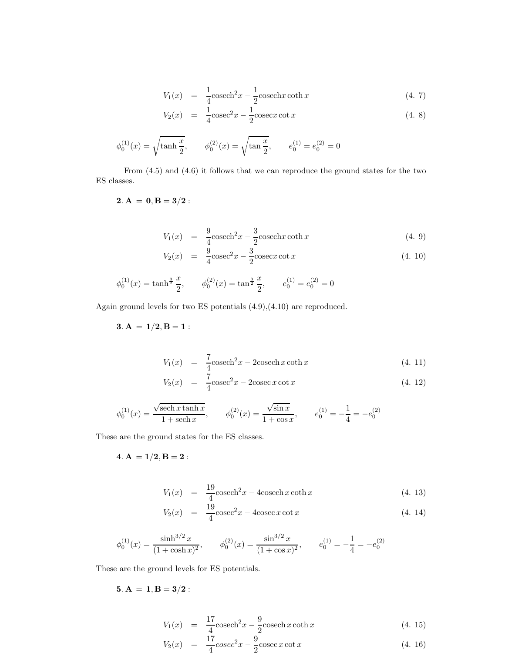$$
V_1(x) = \frac{1}{4}\operatorname{cosech}^2 x - \frac{1}{2}\operatorname{cosech} x \coth x \tag{4.7}
$$

$$
V_2(x) = \frac{1}{4}\csc^2 x - \frac{1}{2}\csc x \cot x \tag{4.8}
$$

$$
\phi_0^{(1)}(x) = \sqrt{\tanh\frac{x}{2}}, \qquad \phi_0^{(2)}(x) = \sqrt{\tanh\frac{x}{2}}, \qquad e_0^{(1)} = e_0^{(2)} = 0
$$

From (4.5) and (4.6) it follows that we can reproduce the ground states for the two ES classes.

2.  $A = 0, B = 3/2$ :

$$
V_1(x) = \frac{9}{4}\operatorname{cosech}^2 x - \frac{3}{2}\operatorname{cosech} x \coth x \tag{4.9}
$$

$$
V_2(x) = \frac{9}{4}\csc^2 x - \frac{3}{2}\csc x \cot x \tag{4.10}
$$

$$
\phi_0^{(1)}(x) = \tanh^{\frac{3}{2}} \frac{x}{2}, \qquad \phi_0^{(2)}(x) = \tan^{\frac{3}{2}} \frac{x}{2}, \qquad e_0^{(1)} = e_0^{(2)} = 0
$$

Again ground levels for two ES potentials (4.9),(4.10) are reproduced.

 $3. A = 1/2, B = 1:$ 

$$
V_1(x) = \frac{7}{4}\operatorname{cosech}^2 x - 2\operatorname{cosech} x \coth x \tag{4.11}
$$

$$
V_2(x) = \frac{7}{4}\csc^2 x - 2\csc x \cot x \tag{4.12}
$$

$$
\phi_0^{(1)}(x) = \frac{\sqrt{\operatorname{sech} x \tanh x}}{1 + \operatorname{sech} x}, \qquad \phi_0^{(2)}(x) = \frac{\sqrt{\sin x}}{1 + \cos x}, \qquad e_0^{(1)} = -\frac{1}{4} = -e_0^{(2)}
$$

These are the ground states for the ES classes.

4.  $A = 1/2, B = 2$ :

$$
V_1(x) = \frac{19}{4}\operatorname{cosech}^2 x - 4\operatorname{cosech} x \coth x \tag{4.13}
$$

$$
V_2(x) = \frac{19}{4}\csc^2 x - 4\csc x \cot x \tag{4.14}
$$

$$
\phi_0^{(1)}(x) = \frac{\sinh^{3/2} x}{(1 + \cosh x)^2}, \qquad \phi_0^{(2)}(x) = \frac{\sin^{3/2} x}{(1 + \cos x)^2}, \qquad e_0^{(1)} = -\frac{1}{4} = -e_0^{(2)}
$$

These are the ground levels for ES potentials.

$$
{\bf 5.\ A\, =\, 1, B = 3/2:}
$$

$$
V_1(x) = \frac{17}{4}\csc^2 x - \frac{9}{2}\csc x \coth x \cot x \tag{4.15}
$$

$$
V_2(x) = \frac{17}{4}\csc^2 x - \frac{9}{2}\csc x \cot x \tag{4.16}
$$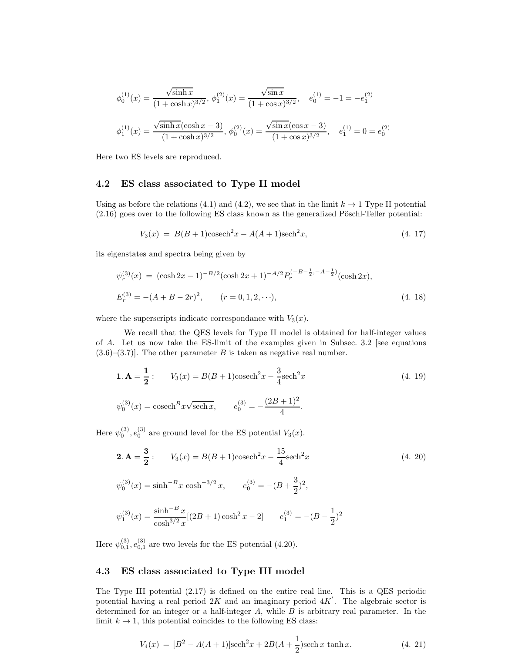$$
\phi_0^{(1)}(x) = \frac{\sqrt{\sinh x}}{(1 + \cosh x)^{3/2}}, \ \phi_1^{(2)}(x) = \frac{\sqrt{\sin x}}{(1 + \cos x)^{3/2}}, \quad e_0^{(1)} = -1 = -e_1^{(2)}
$$

$$
\phi_1^{(1)}(x) = \frac{\sqrt{\sinh x}(\cosh x - 3)}{(1 + \cosh x)^{3/2}}, \ \phi_0^{(2)}(x) = \frac{\sqrt{\sin x}(\cos x - 3)}{(1 + \cos x)^{3/2}}, \quad e_1^{(1)} = 0 = e_0^{(2)}
$$

Here two ES levels are reproduced.

### 4.2 ES class associated to Type II model

Using as before the relations (4.1) and (4.2), we see that in the limit  $k \to 1$  Type II potential  $(2.16)$  goes over to the following ES class known as the generalized Pöschl-Teller potential:

$$
V_3(x) = B(B+1)\cosech^2 x - A(A+1)\sech^2 x,\tag{4.17}
$$

its eigenstates and spectra being given by

$$
\psi_r^{(3)}(x) = (\cosh 2x - 1)^{-B/2} (\cosh 2x + 1)^{-A/2} P_r^{(-B - \frac{1}{2}, -A - \frac{1}{2})} (\cosh 2x),
$$
  
\n
$$
E_r^{(3)} = -(A + B - 2r)^2, \qquad (r = 0, 1, 2, \cdots),
$$
\n(4. 18)

where the superscripts indicate correspondance with  $V_3(x)$ .

We recall that the QES levels for Type II model is obtained for half-integer values of A. Let us now take the ES-limit of the examples given in Subsec. 3.2 [see equations  $(3.6)$ – $(3.7)$ ]. The other parameter B is taken as negative real number.

$$
\mathbf{1. A} = \frac{1}{2}: \qquad V_3(x) = B(B+1)\operatorname{cosech}^2 x - \frac{3}{4}\operatorname{sech}^2 x
$$
\n
$$
\psi_0^{(3)}(x) = \operatorname{cosech}^B x \sqrt{\operatorname{sech} x}, \qquad e_0^{(3)} = -\frac{(2B+1)^2}{4}.
$$
\n
$$
(4. 19)
$$

Here  $\psi_0^{(3)}$ ,  $e_0^{(3)}$  are ground level for the ES potential  $V_3(x)$ .

$$
2. A = \frac{3}{2}: \qquad V_3(x) = B(B+1)\operatorname{cosech}^2 x - \frac{15}{4}\operatorname{sech}^2 x \tag{4. 20}
$$
\n
$$
\psi_0^{(3)}(x) = \sinh^{-B} x \cosh^{-3/2} x, \qquad e_0^{(3)} = -(B + \frac{3}{2})^2,
$$
\n
$$
\psi_1^{(3)}(x) = \frac{\sinh^{-B} x}{\cosh^{3/2} x} [(2B+1)\cosh^2 x - 2] \qquad e_1^{(3)} = -(B - \frac{1}{2})^2
$$

Here  $\psi_{0,1}^{(3)}$ ,  $e_{0,1}^{(3)}$  are two levels for the ES potential (4.20).

### 4.3 ES class associated to Type III model

The Type III potential  $(2.17)$  is defined on the entire real line. This is a QES periodic potential having a real period  $2K$  and an imaginary period  $4K$ . The algebraic sector is determined for an integer or a half-integer  $A$ , while  $B$  is arbitrary real parameter. In the limit  $k \to 1$ , this potential coincides to the following ES class:

$$
V_4(x) = [B^2 - A(A+1)]\text{sech}^2 x + 2B(A+\frac{1}{2})\text{sech }x \tanh x.
$$
 (4. 21)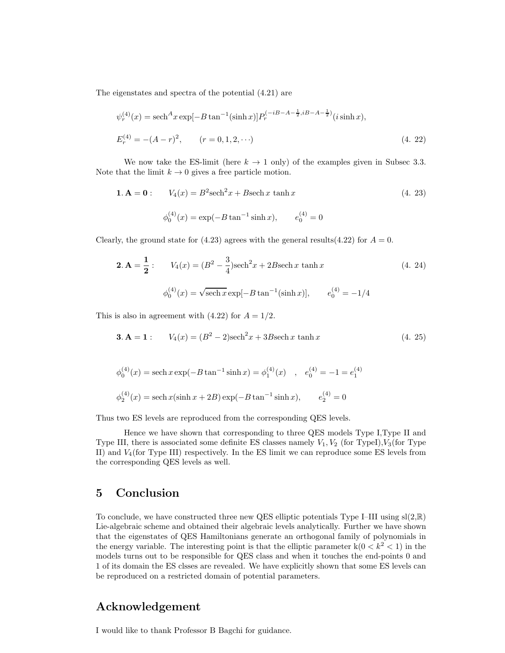The eigenstates and spectra of the potential (4.21) are

$$
\psi_r^{(4)}(x) = \operatorname{sech}^A x \exp[-B \tan^{-1}(\sinh x)] P_r^{(-iB - A - \frac{1}{2}, iB - A - \frac{1}{2})}(i \sinh x),
$$
  
\n
$$
E_r^{(4)} = -(A - r)^2, \qquad (r = 0, 1, 2, \cdots)
$$
\n(4. 22)

We now take the ES-limit (here  $k \to 1$  only) of the examples given in Subsec 3.3. Note that the limit  $k \to 0$  gives a free particle motion.

1. **A** = **0**: 
$$
V_4(x) = B^2 \text{sech}^2 x + B \text{sech } x \tanh x
$$
 (4. 23)  
 $\phi_0^{(4)}(x) = \exp(-B \tan^{-1} \sinh x), \qquad e_0^{(4)} = 0$ 

Clearly, the ground state for (4.23) agrees with the general results(4.22) for  $A = 0$ .

$$
\mathbf{2. A} = \frac{1}{2}: \qquad V_4(x) = (B^2 - \frac{3}{4})\text{sech}^2 x + 2B \text{sech } x \text{ tanh } x \tag{4. 24}
$$
\n
$$
\phi_0^{(4)}(x) = \sqrt{\text{sech } x} \exp[-B \tan^{-1}(\sinh x)], \qquad e_0^{(4)} = -1/4
$$

This is also in agreement with  $(4.22)$  for  $A = 1/2$ .

**3. A** = **1** : 
$$
V_4(x) = (B^2 - 2)\text{sech}^2 x + 3B \text{sech } x \tanh x
$$
 (4. 25)

$$
\phi_0^{(4)}(x) = \operatorname{sech} x \exp(-B \tan^{-1} \sinh x) = \phi_1^{(4)}(x) , e_0^{(4)} = -1 = e_1^{(4)}
$$
  

$$
\phi_2^{(4)}(x) = \operatorname{sech} x(\sinh x + 2B) \exp(-B \tan^{-1} \sinh x), e_2^{(4)} = 0
$$

Thus two ES levels are reproduced from the corresponding QES levels.

Hence we have shown that corresponding to three QES models Type I,Type II and Type III, there is associated some definite ES classes namely  $V_1, V_2$  (for TypeI), $V_3$ (for Type II) and  $V_4$  (for Type III) respectively. In the ES limit we can reproduce some ES levels from the corresponding QES levels as well.

### 5 Conclusion

To conclude, we have constructed three new QES elliptic potentials Type I–III using  $sl(2,\mathbb{R})$ Lie-algebraic scheme and obtained their algebraic levels analytically. Further we have shown that the eigenstates of QES Hamiltonians generate an orthogonal family of polynomials in the energy variable. The interesting point is that the elliptic parameter  $k(0 < k<sup>2</sup> < 1)$  in the models turns out to be responsible for QES class and when it touches the end-points 0 and 1 of its domain the ES clsses are revealed. We have explicitly shown that some ES levels can be reproduced on a restricted domain of potential parameters.

## Acknowledgement

I would like to thank Professor B Bagchi for guidance.